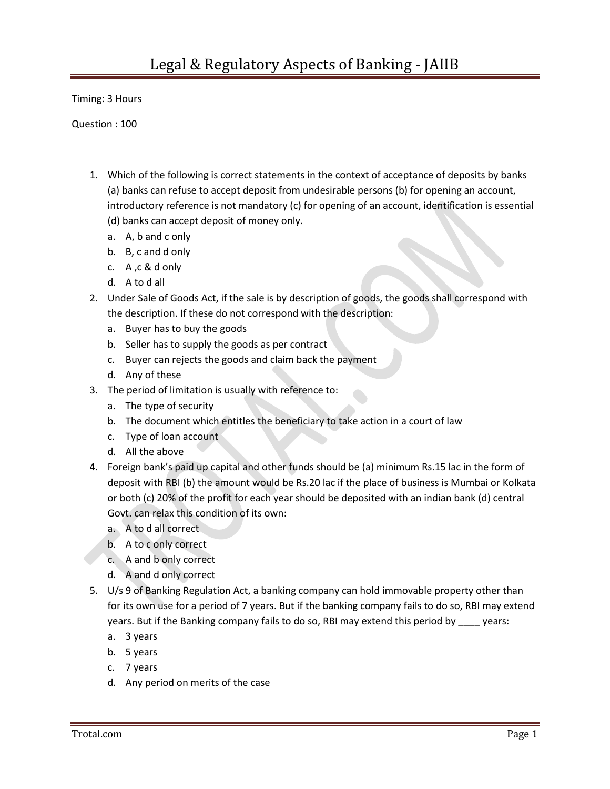Timing: 3 Hours

Question : 100

- 1. Which of the following is correct statements in the context of acceptance of deposits by banks (a) banks can refuse to accept deposit from undesirable persons (b) for opening an account, introductory reference is not mandatory (c) for opening of an account, identification is essential (d) banks can accept deposit of money only.
	- a. A, b and c only
	- b. B, c and d only
	- c. A ,c & d only
	- d. A to d all
- 2. Under Sale of Goods Act, if the sale is by description of goods, the goods shall correspond with the description. If these do not correspond with the description:
	- a. Buyer has to buy the goods
	- b. Seller has to supply the goods as per contract
	- c. Buyer can rejects the goods and claim back the payment
	- d. Any of these
- 3. The period of limitation is usually with reference to:
	- a. The type of security
	- b. The document which entitles the beneficiary to take action in a court of law
	- c. Type of loan account
	- d. All the above
- 4. Foreign bank's paid up capital and other funds should be (a) minimum Rs.15 lac in the form of deposit with RBI (b) the amount would be Rs.20 lac if the place of business is Mumbai or Kolkata or both (c) 20% of the profit for each year should be deposited with an indian bank (d) central Govt. can relax this condition of its own:
	- a. A to d all correct
	- b. A to c only correct
	- c. A and b only correct
	- d. A and d only correct
- 5. U/s 9 of Banking Regulation Act, a banking company can hold immovable property other than for its own use for a period of 7 years. But if the banking company fails to do so, RBI may extend years. But if the Banking company fails to do so, RBI may extend this period by \_\_\_\_ years:
	- a. 3 years
	- b. 5 years
	- c. 7 years
	- d. Any period on merits of the case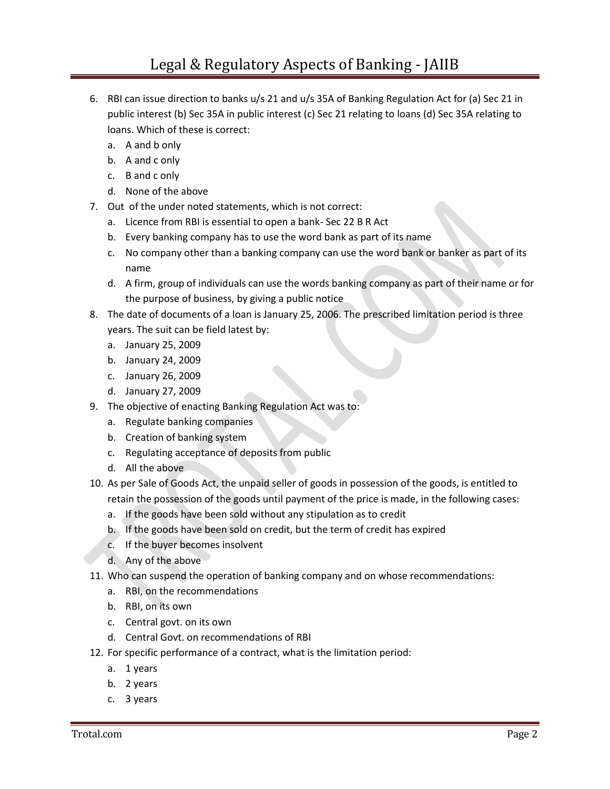- 6. RBI can issue direction to banks u/s 21 and u/s 35A of Banking Regulation Act for (a) Sec 21 in public interest (b) Sec 35A in public interest (c) Sec 21 relating to loans (d) Sec 35A relating to loans. Which of these is correct:
	- a. A and b only
	- b. A and c only
	- c. B and c only
	- d. None of the above
- 7. Out of the under noted statements, which is not correct:
	- a. Licence from RBI is essential to open a bank- Sec 22 B R Act
	- b. Every banking company has to use the word bank as part of its name
	- c. No company other than a banking company can use the word bank or banker as part of its name
	- d. A firm, group of individuals can use the words banking company as part of their name or for the purpose of business, by giving a public notice
- 8. The date of documents of a loan is January 25, 2006. The prescribed limitation period is three years. The suit can be field latest by:
	- a. January 25, 2009
	- b. January 24, 2009
	- c. January 26, 2009
	- d. January 27, 2009
- 9. The objective of enacting Banking Regulation Act was to:
	- a. Regulate banking companies
	- b. Creation of banking system
	- c. Regulating acceptance of deposits from public
	- d. All the above
- 10. As per Sale of Goods Act, the unpaid seller of goods in possession of the goods, is entitled to retain the possession of the goods until payment of the price is made, in the following cases:
	- a. If the goods have been sold without any stipulation as to credit
	- b. If the goods have been sold on credit, but the term of credit has expired
	- c. If the buyer becomes insolvent
	- d. Any of the above
- 11. Who can suspend the operation of banking company and on whose recommendations:
	- a. RBI, on the recommendations
	- b. RBI, on its own
	- c. Central govt. on its own
	- d. Central Govt. on recommendations of RBI
- 12. For specific performance of a contract, what is the limitation period:
	- a. 1 years
	- b. 2 years
	- c. 3 years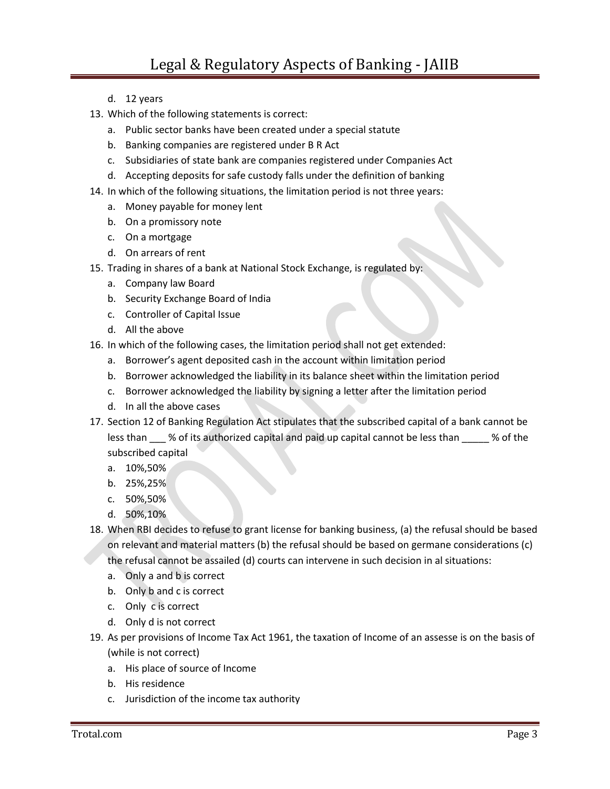- d. 12 years
- 13. Which of the following statements is correct:
	- a. Public sector banks have been created under a special statute
	- b. Banking companies are registered under B R Act
	- c. Subsidiaries of state bank are companies registered under Companies Act
	- d. Accepting deposits for safe custody falls under the definition of banking
- 14. In which of the following situations, the limitation period is not three years:
	- a. Money payable for money lent
	- b. On a promissory note
	- c. On a mortgage
	- d. On arrears of rent
- 15. Trading in shares of a bank at National Stock Exchange, is regulated by:
	- a. Company law Board
	- b. Security Exchange Board of India
	- c. Controller of Capital Issue
	- d. All the above
- 16. In which of the following cases, the limitation period shall not get extended:
	- a. Borrower's agent deposited cash in the account within limitation period
	- b. Borrower acknowledged the liability in its balance sheet within the limitation period
	- c. Borrower acknowledged the liability by signing a letter after the limitation period
	- d. In all the above cases
- 17. Section 12 of Banking Regulation Act stipulates that the subscribed capital of a bank cannot be less than \_\_\_ % of its authorized capital and paid up capital cannot be less than \_\_\_\_\_ % of the subscribed capital
	- a. 10%,50%
	- b. 25%,25%
	- c. 50%,50%
	- d. 50%,10%
- 18. When RBI decides to refuse to grant license for banking business, (a) the refusal should be based on relevant and material matters (b) the refusal should be based on germane considerations (c) the refusal cannot be assailed (d) courts can intervene in such decision in al situations:
	- a. Only a and b is correct
	- b. Only b and c is correct
	- c. Only c is correct
	- d. Only d is not correct
- 19. As per provisions of Income Tax Act 1961, the taxation of Income of an assesse is on the basis of (while is not correct)
	- a. His place of source of Income
	- b. His residence
	- c. Jurisdiction of the income tax authority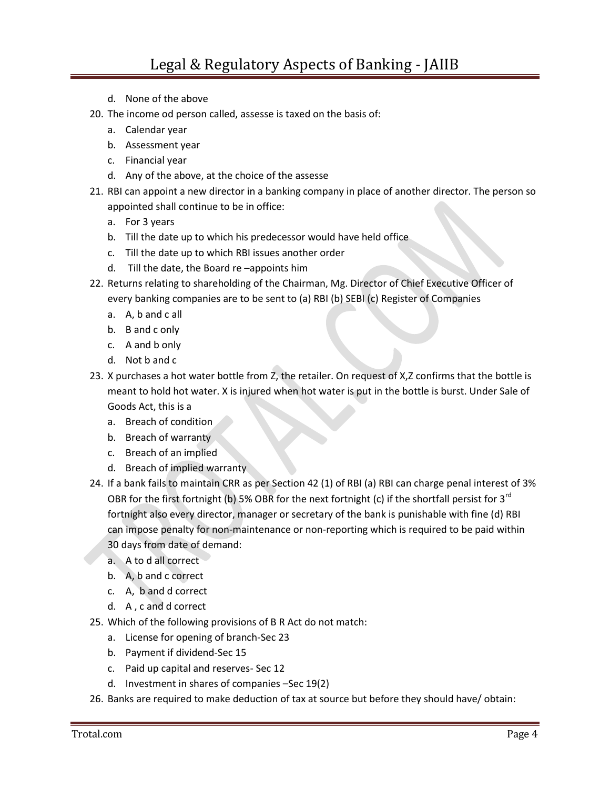- d. None of the above
- 20. The income od person called, assesse is taxed on the basis of:
	- a. Calendar year
	- b. Assessment year
	- c. Financial year
	- d. Any of the above, at the choice of the assesse
- 21. RBI can appoint a new director in a banking company in place of another director. The person so appointed shall continue to be in office:
	- a. For 3 years
	- b. Till the date up to which his predecessor would have held office
	- c. Till the date up to which RBI issues another order
	- d. Till the date, the Board re –appoints him
- 22. Returns relating to shareholding of the Chairman, Mg. Director of Chief Executive Officer of every banking companies are to be sent to (a) RBI (b) SEBI (c) Register of Companies
	- a. A, b and c all
	- b. B and c only
	- c. A and b only
	- d. Not b and c
- 23. X purchases a hot water bottle from Z, the retailer. On request of X,Z confirms that the bottle is meant to hold hot water. X is injured when hot water is put in the bottle is burst. Under Sale of Goods Act, this is a
	- a. Breach of condition
	- b. Breach of warranty
	- c. Breach of an implied
	- d. Breach of implied warranty
- 24. If a bank fails to maintain CRR as per Section 42 (1) of RBI (a) RBI can charge penal interest of 3% OBR for the first fortnight (b) 5% OBR for the next fortnight (c) if the shortfall persist for  $3^{rd}$ fortnight also every director, manager or secretary of the bank is punishable with fine (d) RBI can impose penalty for non-maintenance or non-reporting which is required to be paid within 30 days from date of demand:
	- a. A to d all correct
	- b. A, b and c correct
	- c. A, b and d correct
	- d. A , c and d correct
- 25. Which of the following provisions of B R Act do not match:
	- a. License for opening of branch-Sec 23
	- b. Payment if dividend-Sec 15
	- c. Paid up capital and reserves- Sec 12
	- d. Investment in shares of companies –Sec 19(2)
- 26. Banks are required to make deduction of tax at source but before they should have/ obtain: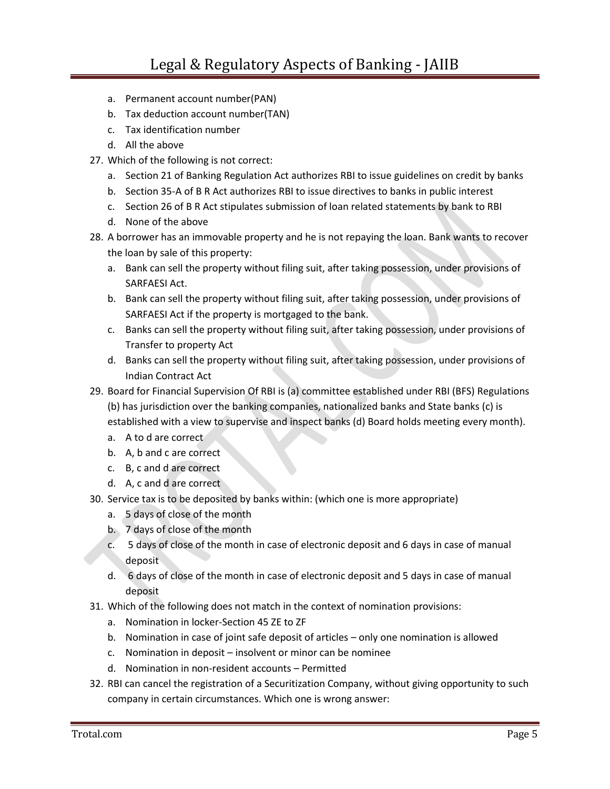- a. Permanent account number(PAN)
- b. Tax deduction account number(TAN)
- c. Tax identification number
- d. All the above
- 27. Which of the following is not correct:
	- a. Section 21 of Banking Regulation Act authorizes RBI to issue guidelines on credit by banks
	- b. Section 35-A of B R Act authorizes RBI to issue directives to banks in public interest
	- c. Section 26 of B R Act stipulates submission of loan related statements by bank to RBI
	- d. None of the above
- 28. A borrower has an immovable property and he is not repaying the loan. Bank wants to recover the loan by sale of this property:
	- a. Bank can sell the property without filing suit, after taking possession, under provisions of SARFAESI Act.
	- b. Bank can sell the property without filing suit, after taking possession, under provisions of SARFAESI Act if the property is mortgaged to the bank.
	- c. Banks can sell the property without filing suit, after taking possession, under provisions of Transfer to property Act
	- d. Banks can sell the property without filing suit, after taking possession, under provisions of Indian Contract Act
- 29. Board for Financial Supervision Of RBI is (a) committee established under RBI (BFS) Regulations (b) has jurisdiction over the banking companies, nationalized banks and State banks (c) is established with a view to supervise and inspect banks (d) Board holds meeting every month).
	- a. A to d are correct
	- b. A, b and c are correct
	- c. B, c and d are correct
	- d. A, c and d are correct
- 30. Service tax is to be deposited by banks within: (which one is more appropriate)
	- a. 5 days of close of the month
	- b. 7 days of close of the month
	- c. 5 days of close of the month in case of electronic deposit and 6 days in case of manual deposit
	- d. 6 days of close of the month in case of electronic deposit and 5 days in case of manual deposit
- 31. Which of the following does not match in the context of nomination provisions:
	- a. Nomination in locker-Section 45 ZE to ZF
	- b. Nomination in case of joint safe deposit of articles only one nomination is allowed
	- c. Nomination in deposit insolvent or minor can be nominee
	- d. Nomination in non-resident accounts Permitted
- 32. RBI can cancel the registration of a Securitization Company, without giving opportunity to such company in certain circumstances. Which one is wrong answer: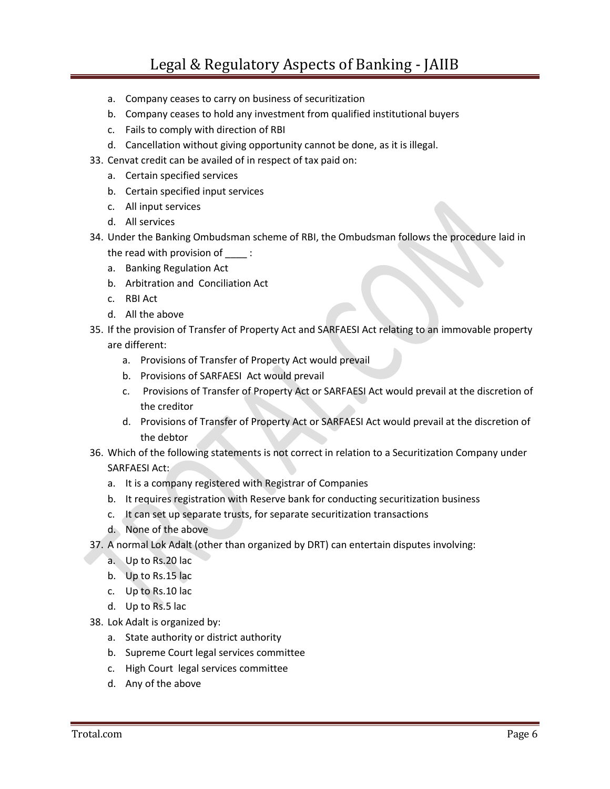- a. Company ceases to carry on business of securitization
- b. Company ceases to hold any investment from qualified institutional buyers
- c. Fails to comply with direction of RBI
- d. Cancellation without giving opportunity cannot be done, as it is illegal.
- 33. Cenvat credit can be availed of in respect of tax paid on:
	- a. Certain specified services
	- b. Certain specified input services
	- c. All input services
	- d. All services
- 34. Under the Banking Ombudsman scheme of RBI, the Ombudsman follows the procedure laid in the read with provision of :
	- a. Banking Regulation Act
	- b. Arbitration and Conciliation Act
	- c. RBI Act
	- d. All the above
- 35. If the provision of Transfer of Property Act and SARFAESI Act relating to an immovable property are different:
	- a. Provisions of Transfer of Property Act would prevail
	- b. Provisions of SARFAESI Act would prevail
	- c. Provisions of Transfer of Property Act or SARFAESI Act would prevail at the discretion of the creditor
	- d. Provisions of Transfer of Property Act or SARFAESI Act would prevail at the discretion of the debtor
- 36. Which of the following statements is not correct in relation to a Securitization Company under SARFAESI Act:
	- a. It is a company registered with Registrar of Companies
	- b. It requires registration with Reserve bank for conducting securitization business
	- c. It can set up separate trusts, for separate securitization transactions
	- d. None of the above
- 37. A normal Lok Adalt (other than organized by DRT) can entertain disputes involving:
	- a. Up to Rs.20 lac
	- b. Up to Rs.15 lac
	- c. Up to Rs.10 lac
	- d. Up to Rs.5 lac
- 38. Lok Adalt is organized by:
	- a. State authority or district authority
	- b. Supreme Court legal services committee
	- c. High Court legal services committee
	- d. Any of the above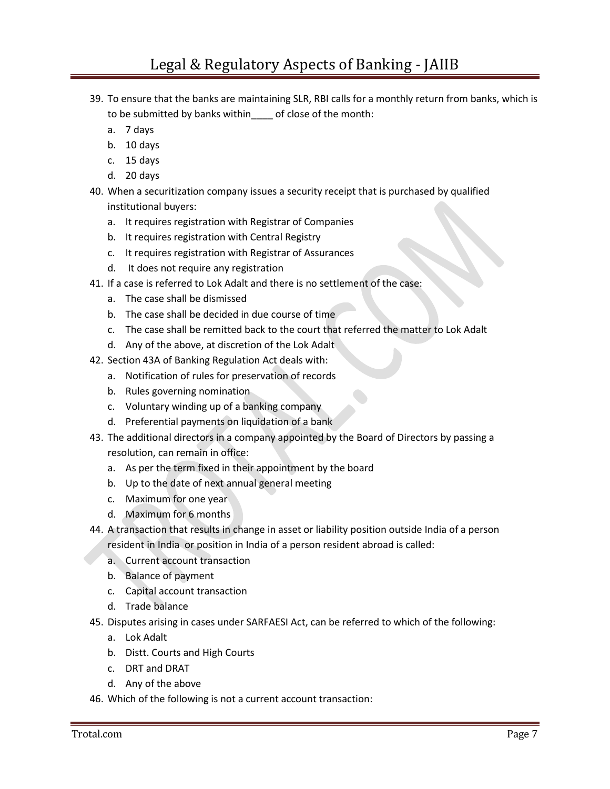- 39. To ensure that the banks are maintaining SLR, RBI calls for a monthly return from banks, which is to be submitted by banks within\_\_\_\_ of close of the month:
	- a. 7 days
	- b. 10 days
	- c. 15 days
	- d. 20 days
- 40. When a securitization company issues a security receipt that is purchased by qualified institutional buyers:
	- a. It requires registration with Registrar of Companies
	- b. It requires registration with Central Registry
	- c. It requires registration with Registrar of Assurances
	- d. It does not require any registration
- 41. If a case is referred to Lok Adalt and there is no settlement of the case:
	- a. The case shall be dismissed
	- b. The case shall be decided in due course of time
	- c. The case shall be remitted back to the court that referred the matter to Lok Adalt
	- d. Any of the above, at discretion of the Lok Adalt
- 42. Section 43A of Banking Regulation Act deals with:
	- a. Notification of rules for preservation of records
	- b. Rules governing nomination
	- c. Voluntary winding up of a banking company
	- d. Preferential payments on liquidation of a bank
- 43. The additional directors in a company appointed by the Board of Directors by passing a resolution, can remain in office:
	- a. As per the term fixed in their appointment by the board
	- b. Up to the date of next annual general meeting
	- c. Maximum for one year
	- d. Maximum for 6 months
- 44. A transaction that results in change in asset or liability position outside India of a person resident in India or position in India of a person resident abroad is called:
	- a. Current account transaction
	- b. Balance of payment
	- c. Capital account transaction
	- d. Trade balance
- 45. Disputes arising in cases under SARFAESI Act, can be referred to which of the following:
	- a. Lok Adalt
	- b. Distt. Courts and High Courts
	- c. DRT and DRAT
	- d. Any of the above
- 46. Which of the following is not a current account transaction: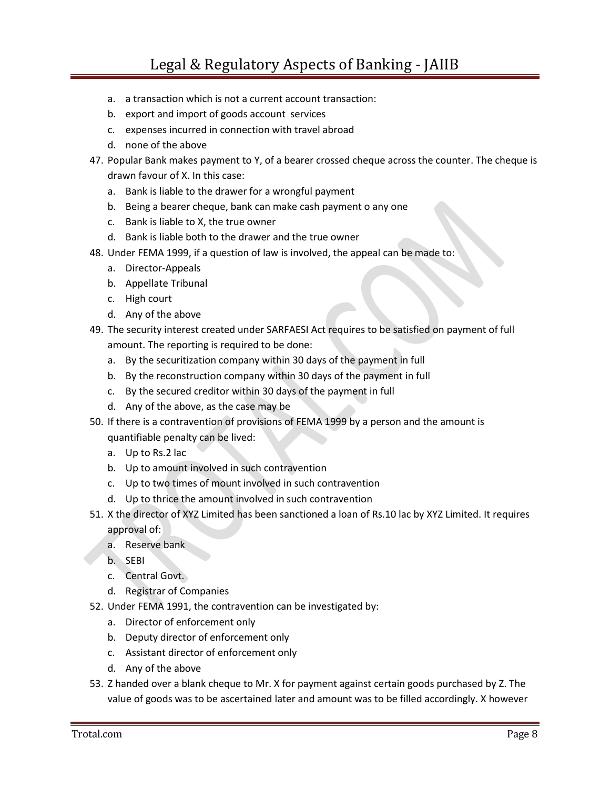- a. a transaction which is not a current account transaction:
- b. export and import of goods account services
- c. expenses incurred in connection with travel abroad
- d. none of the above
- 47. Popular Bank makes payment to Y, of a bearer crossed cheque across the counter. The cheque is drawn favour of X. In this case:
	- a. Bank is liable to the drawer for a wrongful payment
	- b. Being a bearer cheque, bank can make cash payment o any one
	- c. Bank is liable to X, the true owner
	- d. Bank is liable both to the drawer and the true owner
- 48. Under FEMA 1999, if a question of law is involved, the appeal can be made to:
	- a. Director-Appeals
	- b. Appellate Tribunal
	- c. High court
	- d. Any of the above
- 49. The security interest created under SARFAESI Act requires to be satisfied on payment of full amount. The reporting is required to be done:
	- a. By the securitization company within 30 days of the payment in full
	- b. By the reconstruction company within 30 days of the payment in full
	- c. By the secured creditor within 30 days of the payment in full
	- d. Any of the above, as the case may be
- 50. If there is a contravention of provisions of FEMA 1999 by a person and the amount is quantifiable penalty can be lived:
	- a. Up to Rs.2 lac
	- b. Up to amount involved in such contravention
	- c. Up to two times of mount involved in such contravention
	- d. Up to thrice the amount involved in such contravention
- 51. X the director of XYZ Limited has been sanctioned a loan of Rs.10 lac by XYZ Limited. It requires approval of:
	- a. Reserve bank
	- b. SEBI
	- c. Central Govt.
	- d. Registrar of Companies
- 52. Under FEMA 1991, the contravention can be investigated by:
	- a. Director of enforcement only
	- b. Deputy director of enforcement only
	- c. Assistant director of enforcement only
	- d. Any of the above
- 53. Z handed over a blank cheque to Mr. X for payment against certain goods purchased by Z. The value of goods was to be ascertained later and amount was to be filled accordingly. X however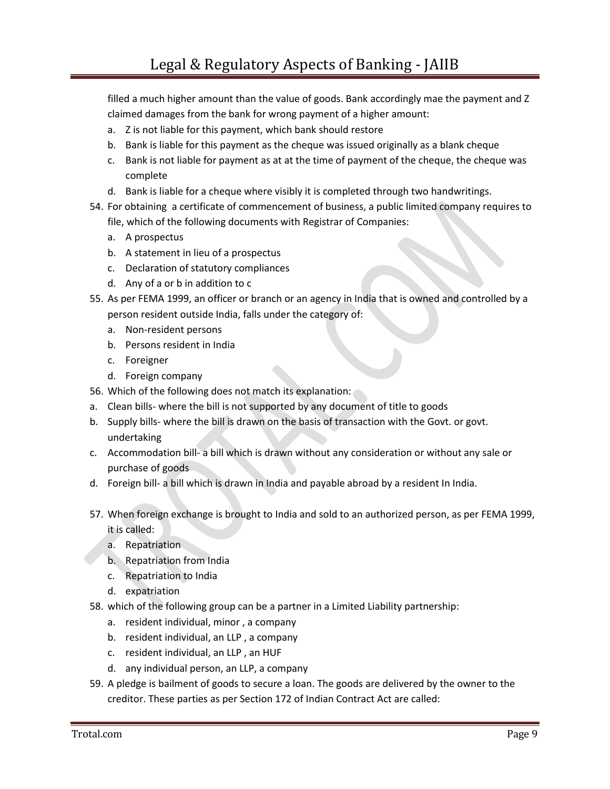filled a much higher amount than the value of goods. Bank accordingly mae the payment and Z claimed damages from the bank for wrong payment of a higher amount:

- a. Z is not liable for this payment, which bank should restore
- b. Bank is liable for this payment as the cheque was issued originally as a blank cheque
- c. Bank is not liable for payment as at at the time of payment of the cheque, the cheque was complete
- d. Bank is liable for a cheque where visibly it is completed through two handwritings.
- 54. For obtaining a certificate of commencement of business, a public limited company requires to file, which of the following documents with Registrar of Companies:
	- a. A prospectus
	- b. A statement in lieu of a prospectus
	- c. Declaration of statutory compliances
	- d. Any of a or b in addition to c
- 55. As per FEMA 1999, an officer or branch or an agency in India that is owned and controlled by a person resident outside India, falls under the category of:
	- a. Non-resident persons
	- b. Persons resident in India
	- c. Foreigner
	- d. Foreign company
- 56. Which of the following does not match its explanation:
- a. Clean bills- where the bill is not supported by any document of title to goods
- b. Supply bills- where the bill is drawn on the basis of transaction with the Govt. or govt. undertaking
- c. Accommodation bill- a bill which is drawn without any consideration or without any sale or purchase of goods
- d. Foreign bill- a bill which is drawn in India and payable abroad by a resident In India.
- 57. When foreign exchange is brought to India and sold to an authorized person, as per FEMA 1999, it is called:
	- a. Repatriation
	- b. Repatriation from India
	- c. Repatriation to India
	- d. expatriation
- 58. which of the following group can be a partner in a Limited Liability partnership:
	- a. resident individual, minor , a company
	- b. resident individual, an LLP , a company
	- c. resident individual, an LLP , an HUF
	- d. any individual person, an LLP, a company
- 59. A pledge is bailment of goods to secure a loan. The goods are delivered by the owner to the creditor. These parties as per Section 172 of Indian Contract Act are called: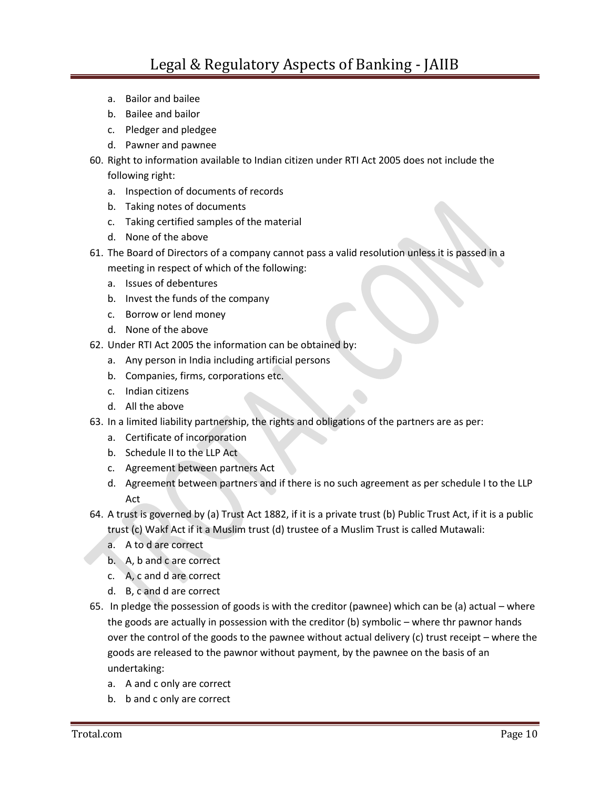- a. Bailor and bailee
- b. Bailee and bailor
- c. Pledger and pledgee
- d. Pawner and pawnee
- 60. Right to information available to Indian citizen under RTI Act 2005 does not include the following right:
	- a. Inspection of documents of records
	- b. Taking notes of documents
	- c. Taking certified samples of the material
	- d. None of the above
- 61. The Board of Directors of a company cannot pass a valid resolution unless it is passed in a meeting in respect of which of the following:
	- a. Issues of debentures
	- b. Invest the funds of the company
	- c. Borrow or lend money
	- d. None of the above
- 62. Under RTI Act 2005 the information can be obtained by:
	- a. Any person in India including artificial persons
	- b. Companies, firms, corporations etc.
	- c. Indian citizens
	- d. All the above
- 63. In a limited liability partnership, the rights and obligations of the partners are as per:
	- a. Certificate of incorporation
	- b. Schedule II to the LLP Act
	- c. Agreement between partners Act
	- d. Agreement between partners and if there is no such agreement as per schedule I to the LLP Act
- 64. A trust is governed by (a) Trust Act 1882, if it is a private trust (b) Public Trust Act, if it is a public trust (c) Wakf Act if it a Muslim trust (d) trustee of a Muslim Trust is called Mutawali:
	- a. A to d are correct
	- b. A, b and c are correct
	- c. A, c and d are correct
	- d. B, c and d are correct
- 65. In pledge the possession of goods is with the creditor (pawnee) which can be (a) actual where the goods are actually in possession with the creditor (b) symbolic – where thr pawnor hands over the control of the goods to the pawnee without actual delivery (c) trust receipt – where the goods are released to the pawnor without payment, by the pawnee on the basis of an undertaking:
	- a. A and c only are correct
	- b. b and c only are correct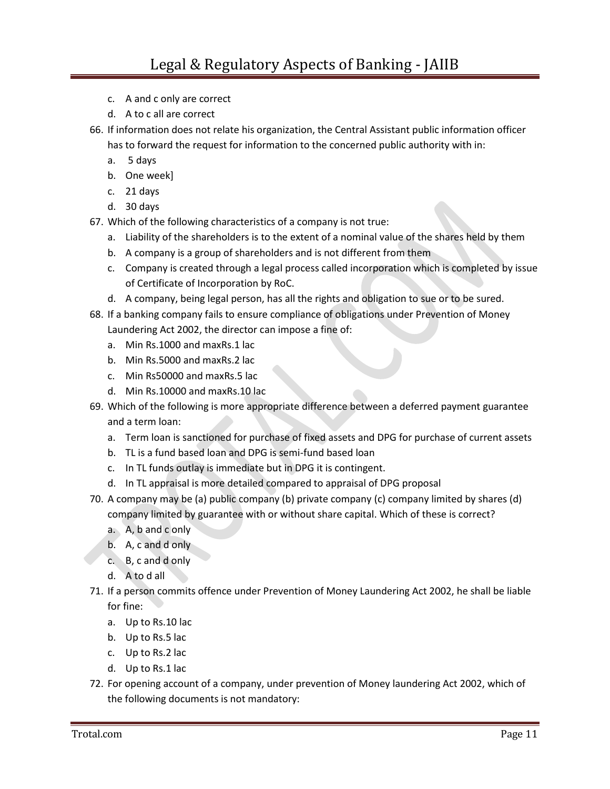- c. A and c only are correct
- d. A to c all are correct
- 66. If information does not relate his organization, the Central Assistant public information officer
	- has to forward the request for information to the concerned public authority with in:
	- a. 5 days
	- b. One week]
	- c. 21 days
	- d. 30 days
- 67. Which of the following characteristics of a company is not true:
	- a. Liability of the shareholders is to the extent of a nominal value of the shares held by them
	- b. A company is a group of shareholders and is not different from them
	- c. Company is created through a legal process called incorporation which is completed by issue of Certificate of Incorporation by RoC.
	- d. A company, being legal person, has all the rights and obligation to sue or to be sured.
- 68. If a banking company fails to ensure compliance of obligations under Prevention of Money Laundering Act 2002, the director can impose a fine of:
	- a. Min Rs.1000 and maxRs.1 lac
	- b. Min Rs.5000 and maxRs.2 lac
	- c. Min Rs50000 and maxRs.5 lac
	- d. Min Rs.10000 and maxRs.10 lac
- 69. Which of the following is more appropriate difference between a deferred payment guarantee and a term loan:
	- a. Term loan is sanctioned for purchase of fixed assets and DPG for purchase of current assets
	- b. TL is a fund based loan and DPG is semi-fund based loan
	- c. In TL funds outlay is immediate but in DPG it is contingent.
	- d. In TL appraisal is more detailed compared to appraisal of DPG proposal
- 70. A company may be (a) public company (b) private company (c) company limited by shares (d) company limited by guarantee with or without share capital. Which of these is correct?
	- a. A, b and c only
	- b. A, c and d only
	- c. B, c and d only
	- d. A to d all
- 71. If a person commits offence under Prevention of Money Laundering Act 2002, he shall be liable for fine:
	- a. Up to Rs.10 lac
	- b. Up to Rs.5 lac
	- c. Up to Rs.2 lac
	- d. Up to Rs.1 lac
- 72. For opening account of a company, under prevention of Money laundering Act 2002, which of the following documents is not mandatory: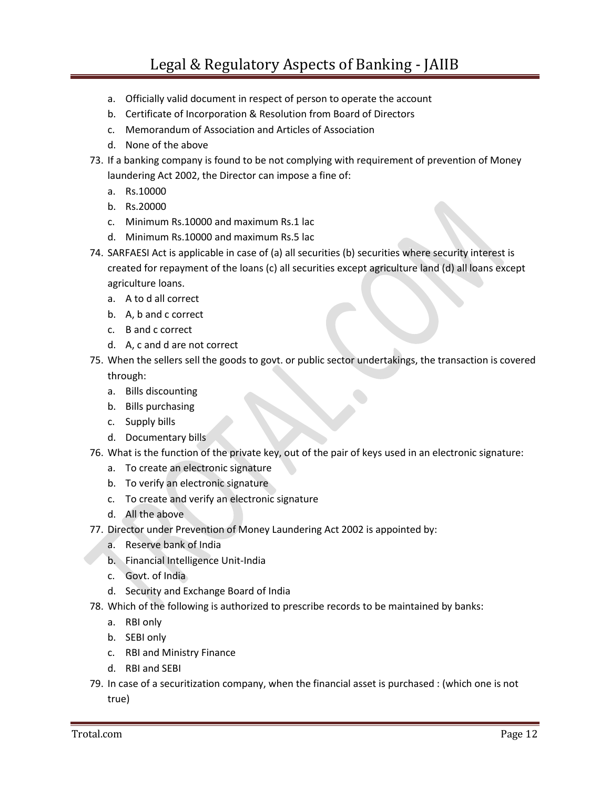- a. Officially valid document in respect of person to operate the account
- b. Certificate of Incorporation & Resolution from Board of Directors
- c. Memorandum of Association and Articles of Association
- d. None of the above
- 73. If a banking company is found to be not complying with requirement of prevention of Money laundering Act 2002, the Director can impose a fine of:
	- a. Rs.10000
	- b. Rs.20000
	- c. Minimum Rs.10000 and maximum Rs.1 lac
	- d. Minimum Rs.10000 and maximum Rs.5 lac
- 74. SARFAESI Act is applicable in case of (a) all securities (b) securities where security interest is created for repayment of the loans (c) all securities except agriculture land (d) all loans except agriculture loans.
	- a. A to d all correct
	- b. A, b and c correct
	- c. B and c correct
	- d. A, c and d are not correct
- 75. When the sellers sell the goods to govt. or public sector undertakings, the transaction is covered

through:

- a. Bills discounting
- b. Bills purchasing
- c. Supply bills
- d. Documentary bills
- 76. What is the function of the private key, out of the pair of keys used in an electronic signature:
	- a. To create an electronic signature
	- b. To verify an electronic signature
	- c. To create and verify an electronic signature
	- d. All the above
- 77. Director under Prevention of Money Laundering Act 2002 is appointed by:
	- a. Reserve bank of India
	- b. Financial Intelligence Unit-India
	- c. Govt. of India
	- d. Security and Exchange Board of India
- 78. Which of the following is authorized to prescribe records to be maintained by banks:
	- a. RBI only
	- b. SEBI only
	- c. RBI and Ministry Finance
	- d. RBI and SEBI
- 79. In case of a securitization company, when the financial asset is purchased : (which one is not true)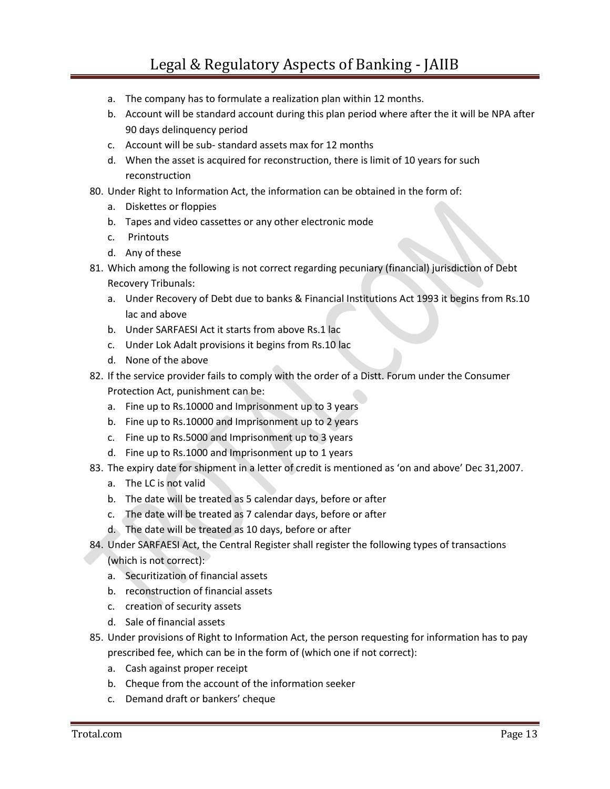- a. The company has to formulate a realization plan within 12 months.
- b. Account will be standard account during this plan period where after the it will be NPA after 90 days delinquency period
- c. Account will be sub- standard assets max for 12 months
- d. When the asset is acquired for reconstruction, there is limit of 10 years for such reconstruction
- 80. Under Right to Information Act, the information can be obtained in the form of:
	- a. Diskettes or floppies
	- b. Tapes and video cassettes or any other electronic mode
	- c. Printouts
	- d. Any of these
- 81. Which among the following is not correct regarding pecuniary (financial) jurisdiction of Debt Recovery Tribunals:
	- a. Under Recovery of Debt due to banks & Financial Institutions Act 1993 it begins from Rs.10 lac and above
	- b. Under SARFAESI Act it starts from above Rs.1 lac
	- c. Under Lok Adalt provisions it begins from Rs.10 lac
	- d. None of the above
- 82. If the service provider fails to comply with the order of a Distt. Forum under the Consumer Protection Act, punishment can be:
	- a. Fine up to Rs.10000 and Imprisonment up to 3 years
	- b. Fine up to Rs.10000 and Imprisonment up to 2 years
	- c. Fine up to Rs.5000 and Imprisonment up to 3 years
	- d. Fine up to Rs.1000 and Imprisonment up to 1 years
- 83. The expiry date for shipment in a letter of credit is mentioned as 'on and above' Dec 31,2007.
	- a. The LC is not valid
	- b. The date will be treated as 5 calendar days, before or after
	- c. The date will be treated as 7 calendar days, before or after
	- d. The date will be treated as 10 days, before or after
- 84. Under SARFAESI Act, the Central Register shall register the following types of transactions
	- (which is not correct):
	- a. Securitization of financial assets
	- b. reconstruction of financial assets
	- c. creation of security assets
	- d. Sale of financial assets
- 85. Under provisions of Right to Information Act, the person requesting for information has to pay prescribed fee, which can be in the form of (which one if not correct):
	- a. Cash against proper receipt
	- b. Cheque from the account of the information seeker
	- c. Demand draft or bankers' cheque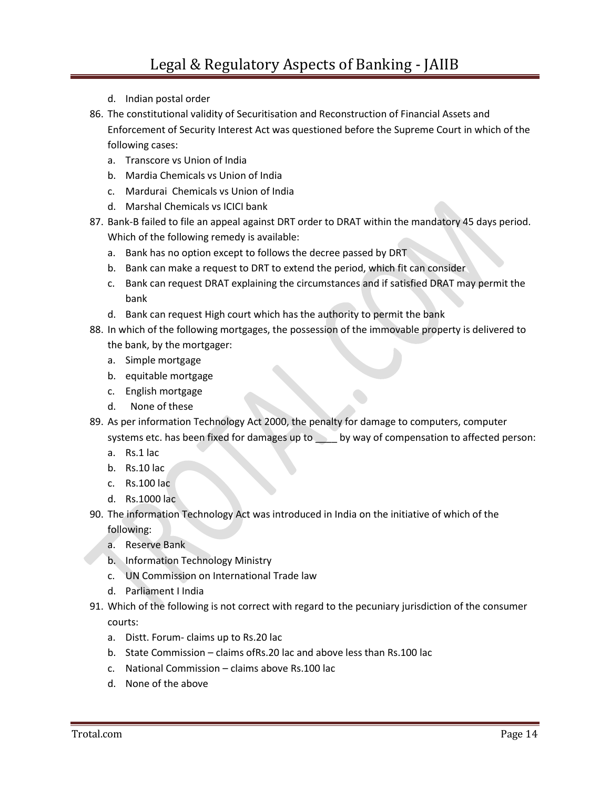- d. Indian postal order
- 86. The constitutional validity of Securitisation and Reconstruction of Financial Assets and Enforcement of Security Interest Act was questioned before the Supreme Court in which of the following cases:
	- a. Transcore vs Union of India
	- b. Mardia Chemicals vs Union of India
	- c. Mardurai Chemicals vs Union of India
	- d. Marshal Chemicals vs ICICI bank
- 87. Bank-B failed to file an appeal against DRT order to DRAT within the mandatory 45 days period. Which of the following remedy is available:
	- a. Bank has no option except to follows the decree passed by DRT
	- b. Bank can make a request to DRT to extend the period, which fit can consider
	- c. Bank can request DRAT explaining the circumstances and if satisfied DRAT may permit the bank
	- d. Bank can request High court which has the authority to permit the bank
- 88. In which of the following mortgages, the possession of the immovable property is delivered to the bank, by the mortgager:
	- a. Simple mortgage
	- b. equitable mortgage
	- c. English mortgage
	- d. None of these
- 89. As per information Technology Act 2000, the penalty for damage to computers, computer systems etc. has been fixed for damages up to \_\_\_\_ by way of compensation to affected person:
	- a. Rs.1 lac
	- b. Rs.10 lac
	- c. Rs.100 lac
	- d. Rs.1000 lac
- 90. The information Technology Act was introduced in India on the initiative of which of the following:
	- a. Reserve Bank
	- b. Information Technology Ministry
	- c. UN Commission on International Trade law
	- d. Parliament I India
- 91. Which of the following is not correct with regard to the pecuniary jurisdiction of the consumer courts:
	- a. Distt. Forum- claims up to Rs.20 lac
	- b. State Commission claims ofRs.20 lac and above less than Rs.100 lac
	- c. National Commission claims above Rs.100 lac
	- d. None of the above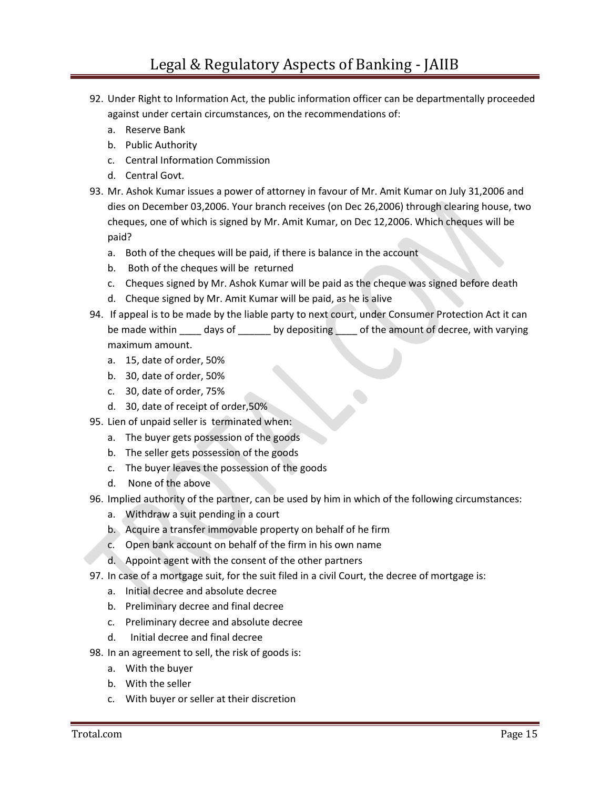- 92. Under Right to Information Act, the public information officer can be departmentally proceeded against under certain circumstances, on the recommendations of:
	- a. Reserve Bank
	- b. Public Authority
	- c. Central Information Commission
	- d. Central Govt.
- 93. Mr. Ashok Kumar issues a power of attorney in favour of Mr. Amit Kumar on July 31,2006 and dies on December 03,2006. Your branch receives (on Dec 26,2006) through clearing house, two cheques, one of which is signed by Mr. Amit Kumar, on Dec 12,2006. Which cheques will be paid?
	- a. Both of the cheques will be paid, if there is balance in the account
	- b. Both of the cheques will be returned
	- c. Cheques signed by Mr. Ashok Kumar will be paid as the cheque was signed before death
	- d. Cheque signed by Mr. Amit Kumar will be paid, as he is alive
- 94. If appeal is to be made by the liable party to next court, under Consumer Protection Act it can be made within days of by depositing of the amount of decree, with varying maximum amount.
	- a. 15, date of order, 50%
	- b. 30, date of order, 50%
	- c. 30, date of order, 75%
	- d. 30, date of receipt of order,50%
- 95. Lien of unpaid seller is terminated when:
	- a. The buyer gets possession of the goods
	- b. The seller gets possession of the goods
	- c. The buyer leaves the possession of the goods
	- d. None of the above
- 96. Implied authority of the partner, can be used by him in which of the following circumstances:
	- a. Withdraw a suit pending in a court
	- b. Acquire a transfer immovable property on behalf of he firm
	- c. Open bank account on behalf of the firm in his own name
	- d. Appoint agent with the consent of the other partners
- 97. In case of a mortgage suit, for the suit filed in a civil Court, the decree of mortgage is:
	- a. Initial decree and absolute decree
	- b. Preliminary decree and final decree
	- c. Preliminary decree and absolute decree
	- d. Initial decree and final decree
- 98. In an agreement to sell, the risk of goods is:
	- a. With the buyer
	- b. With the seller
	- c. With buyer or seller at their discretion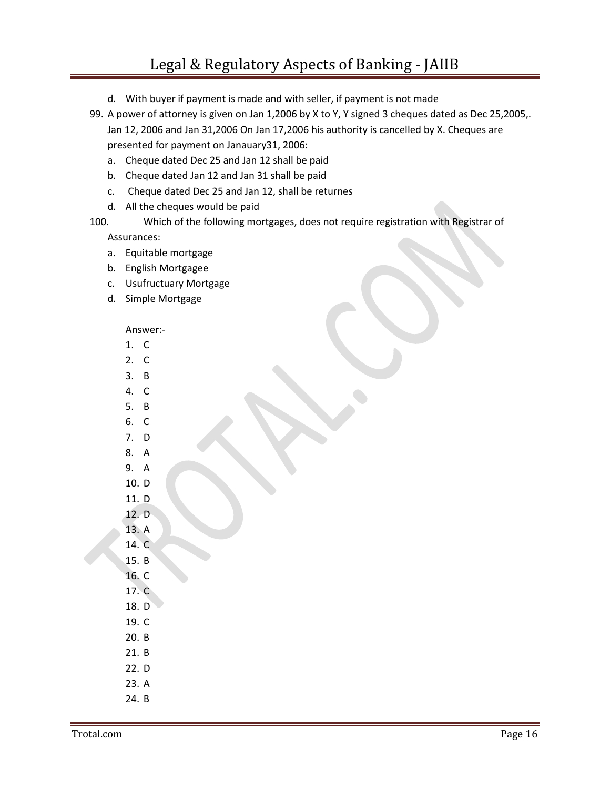## Legal & Regulatory Aspects of Banking - JAIIB

- d. With buyer if payment is made and with seller, if payment is not made
- 99. A power of attorney is given on Jan 1,2006 by X to Y, Y signed 3 cheques dated as Dec 25,2005,. Jan 12, 2006 and Jan 31,2006 On Jan 17,2006 his authority is cancelled by X. Cheques are presented for payment on Janauary31, 2006:
	- a. Cheque dated Dec 25 and Jan 12 shall be paid
	- b. Cheque dated Jan 12 and Jan 31 shall be paid
	- c. Cheque dated Dec 25 and Jan 12, shall be returnes
	- d. All the cheques would be paid
- 100. Which of the following mortgages, does not require registration with Registrar of Assurances:
	- a. Equitable mortgage
	- b. English Mortgagee
	- c. Usufructuary Mortgage
	- d. Simple Mortgage

## Answer:-

- 1. C
- 2. C
- 3. B
- 4. C
- 5. B
- 6. C
- 7. D
- 8. A 9. A
- 10. D
- 11. D
- 12. D
- 13. A
- 14. C
- 15. B
- 16. C
- 17. C
- 18. D
- 19. C
- 20. B
- 21. B
- 22. D
- 23. A
- 24. B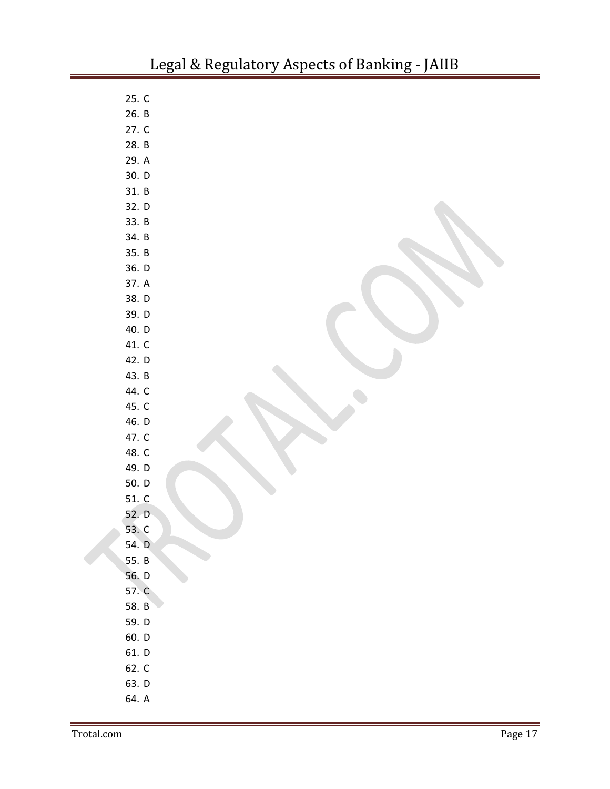| 25. C |  |
|-------|--|
| 26. B |  |
| 27. C |  |
| 28. B |  |
| 29. A |  |
| 30. D |  |
| 31. B |  |
| 32. D |  |
| 33. B |  |
| 34. B |  |
| 35. B |  |
| 36. D |  |
| 37. A |  |
| 38. D |  |
| 39. D |  |
| 40. D |  |
| 41. C |  |
| 42. D |  |
| 43. B |  |
| 44. C |  |
| 45. C |  |
| 46. D |  |
| 47. C |  |
| 48. C |  |
| 49. D |  |
| 50. D |  |
| 51. C |  |
| 52. D |  |
| 53. C |  |
| 54. D |  |
| 55. B |  |
| 56. D |  |
| 57. C |  |
| 58. B |  |
| 59. D |  |
| 60. D |  |
| 61. D |  |
| 62. C |  |
| 63. D |  |
| 64. A |  |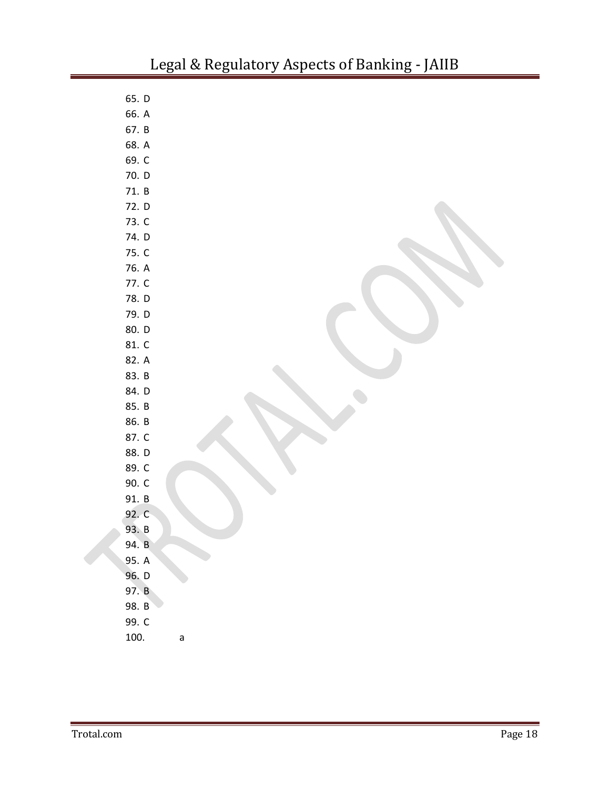| 65. D |             |
|-------|-------------|
| 66. A |             |
| 67. B |             |
| 68. A |             |
| 69. C |             |
| 70. D |             |
| 71. B |             |
| 72. D |             |
| 73. C |             |
| 74. D |             |
| 75. C |             |
| 76. A |             |
| 77. C |             |
| 78. D |             |
| 79. D |             |
| 80. D |             |
| 81. C |             |
| 82. A |             |
| 83. B |             |
| 84. D |             |
| 85. B |             |
| 86. B |             |
| 87. C |             |
| 88. D |             |
| 89. C |             |
| 90. C |             |
| 91. B |             |
| 92. C |             |
| 93. B |             |
| 94. B |             |
| 95. A |             |
| 96. D |             |
| 97. B |             |
| 98. B |             |
| 99. C |             |
| 100.  | $\mathsf a$ |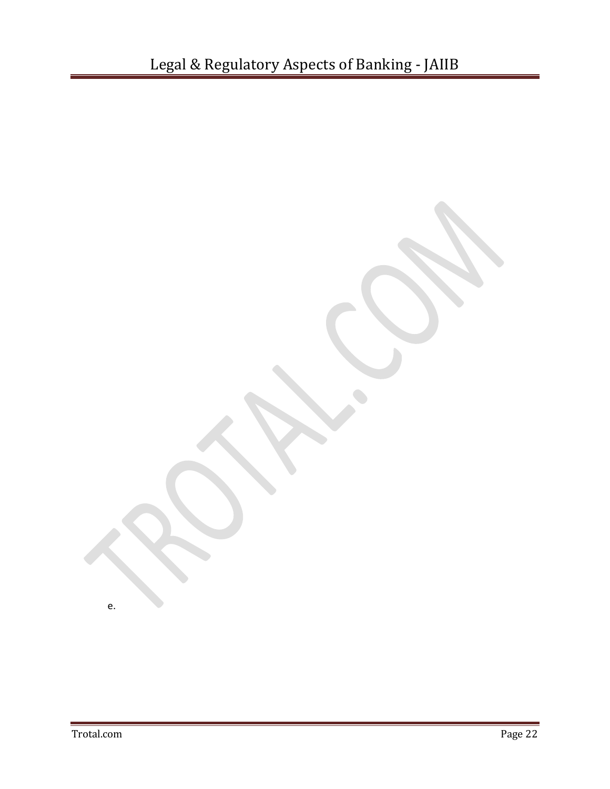e.